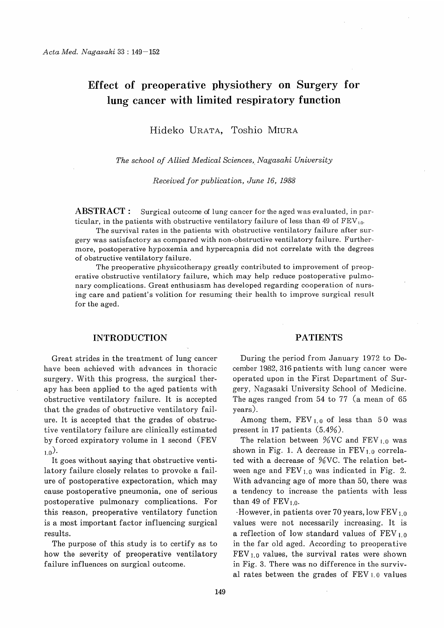# Effect of preoperative physiothery on Surgery for lung cancer with limited respiratory function

Hideko URATA, Toshio MIURA

The school of Allied Medical Sciences, Nagasaki University

Received for publication, June 16, 1988

ABSTRACT: Surgical outcome of lung cancer for the aged was evaluated, in particular, in the patients with obstructive ventilatory failure of less than 49 of FEV<sub>1.0</sub>.

The survival rates in the patients with obstructive ventilatory failure after surgery was satisfactory as compared with non-obstructive ventilatory failure. Furthermore, postoperative hypoxemia and hypercapnia did not correlate with the degrees of obstructive ventilatory failure.

The preoperative physicotherapy greatly contributed to improvement of preoperative obstructive ventilatory failure, which may help reduce postoperative pulmonary complications. Great enthusiasm has developed regarding cooperation of nursing care and patient's volition for resuming their health to improve surgical result for the aged.

### INTRODUCTION

Great strides in the treatment of lung cancer have been achieved with advances in thoracic surgery. With this progress, the surgical therapy has been applied to the aged patients with obstructive ventilatory failure. It is accepted that the grades of obstructive ventilatory failure. It is accepted that the grades of obstructive ventilatory failure are clinically estimated by forced expiratory volume in 1 second (FEV  $_{1.0}$ ).

It goes without saying that obstructive ventilatory failure closely relates to provoke a failure of postoperative expectoration, which may cause postoperative pneumonia, one of serious postoperative pulmonary complications. For this reason, preoperative ventilatory function is a most important factor influencing surgical results.

The purpose of this study is to certify as to how the severity of preoperative ventilatory failure influences on surgical outcome.

### PATIENTS

During the period from January 1972 to December 1982, 316 patients with lung cancer were operated upon in the First Department of Surgery, Nagasaki University School of Medicine. The ages ranged from 54 to 77 (a mean of 65 years).

Among them,  $FEV_{1,0}$  of less than 50 was present in 17 patients (5.4%).

The relation between  $\%$ VC and FEV  $_{1.0}$  was shown in Fig. 1. A decrease in  $FEV<sub>1.0</sub>$  correlated with a decrease of %VC. The relation between age and  $FEV_{1,0}$  was indicated in Fig. 2. With advancing age of more than 50, there was a tendency to increase the patients with less than 49 of  $\text{FEV}_{1.0}$ .

However, in patients over 70 years, low FEV 1.o values were not necessarily increasing. It is a reflection of low standard values of  $FEV<sub>1.0</sub>$ in the far old aged. According to preoperative  $FEV<sub>1.0</sub>$  values, the survival rates were shown in Fig. 3. There was no difference in the survival rates between the grades of FEV i. o values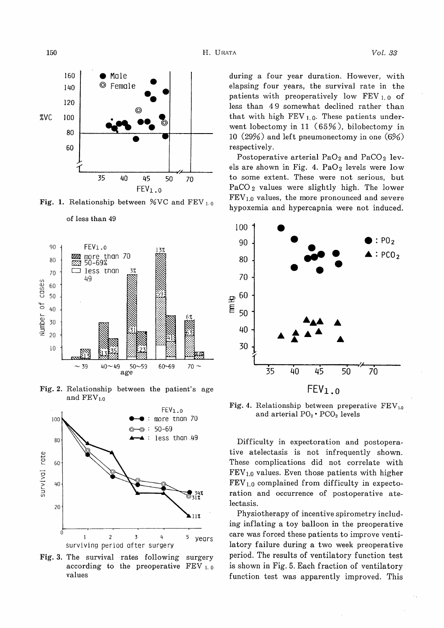

Fig. 1. Relationship between %VC and FEV  $_{1.0}$ 



Fig. 2. Relationship between the patient's age and  $\rm FEV_{1.0}$ 

age



Fig. 3. The survival rates following surgery according to the preoperative  $FEV_{1.0}$ values

during a four year duration. However, with elapsing four years, the survival rate in the patients with preoperatively low FEY 1. o of less than 4 9 somewhat declined rather than that with high  $FEV_{1.0}$ . These patients underwent lobectomy in 11 (65%), bilobectomy in 10 (29%) and left pneumonectomy in one (6%) respectively.

Postoperative arterial  $PaO<sub>2</sub>$  and  $PaCO<sub>2</sub>$  levels are shown in Fig. 4. Pa $O_2$  levels were low to some extent. These were not serious, but PaCO 2 values were slightly high. The lower  $FEV<sub>1.0</sub>$  values, the more pronounced and severe hypoxemia and hypercapnia were not induced.



Fig. 4. Relationship between preperative  $\text{FEV}_{1,0}$ and arterial  $PO_2 \cdot PCO_2$  levels

Difficulty in expectoration and postoperative atelectasis is not infrequently shown. These complications did not correlate with  $FEV<sub>1.0</sub>$  values. Even those patients with higher  $FEV<sub>1.0</sub>$  complained from difficulty in expectoration and occurrence of postoperative atelectasis.

Physiotherapy of incentive spirometry including inflating a toy balloon in the preoperative care was forced these patients to improve ventilatory failure during a two week preoperative period. The results of ventilatory function test is shown in Fig. 5. Each fraction of ventilatory function test was apparently improved. This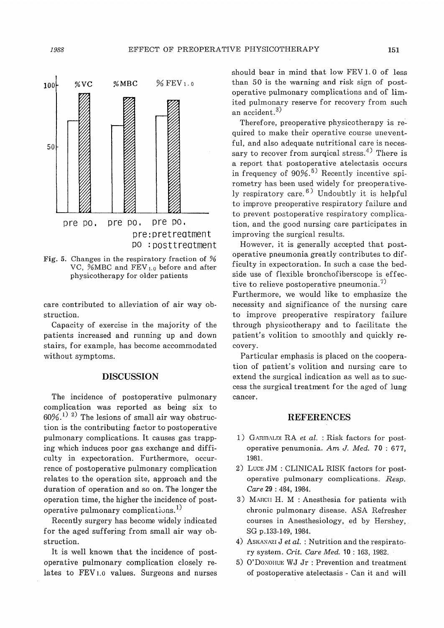

Fig. 5. Changes in the respiratory fraction of % VC, %MBC and FEV<sub>1.0</sub> before and after physicotherapy for older patients

care contributed to alleviation of air way obstruction.

Capacity of exercise in the majority of the patients increased and running up and down stairs, for example, has become accommodated without symptoms.

## DISCUSSION

The incidence of postoperative pulmonary complication was reported as being six to  $60\%$ .<sup>1)</sup> <sup>2)</sup> The lesions of small air way obstruction is the contributing factor to postoperative pulmonary complications. It causes gas trapping which induces poor gas exchange and difficulty in expectoration. Furthermore, occurrence of postoperative pulmonary complication relates to the operation site, approach and the duration of operation and so on. The longer the operation time, the higher the incidence of postoperative pulmonary complications.<sup>1)</sup>

Recently surgery has become widely indicated for the aged suffering from small air way obstruction.

It is well known that the incidence of postoperative pulmonary complication closely relates to FEV1.0 values. Surgeons and nurses should bear in mind that low FEV 1. 0 of less than 50 is the warning and risk sign of postoperative pulmonary complications and of limited pulmonary reserve for recovery from such an accident.<sup>3)</sup>

Therefore, preoperative physicotherapy is required to make their operative course uneventful, and also adequate nutritional care is necessary to recover from surqical stress.<sup>4)</sup> There is a report that postoperative atelectasis occurs in frequency of  $90\%$ .<sup>5)</sup> Recently incentive spirometry has been used widely for preoperatively respiratory care. 6) Undoubtly it is helpful to improve preoperative respiratory failure and to prevent postoperative respiratory complication, and the good nursing care participates in improving the surgical results.

However, it is generally accepted that postoperative pneumonia greatly contributes to difficulty in expectoration. In such a case the bedside use of flexible bronchofiberscope is effective to relieve postoperative pneumonia.<sup>7)</sup>

Furthermore, we would like to emphasize the necessity and significance of the nursing care to improve preoperative respiratory failure through physicotherapy and to facilitate the patient's volition to smoothly and quickly recovery.

Particular emphasis is placed on the cooperation of patient's volition and nursing care to extend the surgical indication as well as to success the surgical treatment for the aged of lung cancer.

#### REFERENCES

- 1) GARIBALDI RA et al. : Risk factors for postoperative penumonia. Am J. Med. 70 : 677, 1981.
- 2) Lucs JM : CLINICAL RISK factors for postoperative pulmonary complications. Resp. Care 29 : 484, 1984.
- 3) MARCH H. M : Anesthesia for patients with chronic pulmonary disease. ASA Refresher courses in Anesthesiology, ed by Hershey, SG p.133-149, 1984.
- 4) ASKANAZI J et al. : Nutrition and the respiratory system. Crit. Care Med. 10 : 163, 1982.
- 5) O'DONOHUE WJ Jr : Prevention and treatment of postoperative atelectasis - Can it and will